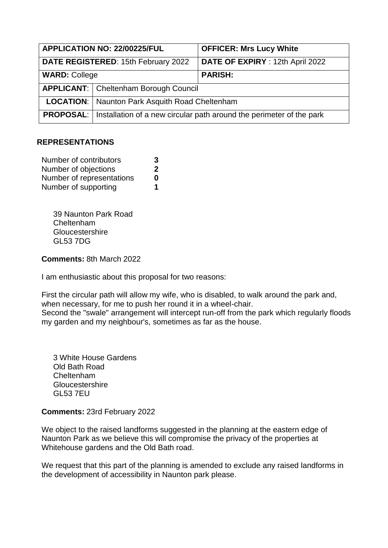| APPLICATION NO: 22/00225/FUL        |                                                       | <b>OFFICER: Mrs Lucy White</b>                                                          |
|-------------------------------------|-------------------------------------------------------|-----------------------------------------------------------------------------------------|
| DATE REGISTERED: 15th February 2022 |                                                       | DATE OF EXPIRY : 12th April 2022                                                        |
| <b>WARD: College</b>                |                                                       | <b>PARISH:</b>                                                                          |
|                                     | <b>APPLICANT:</b> Cheltenham Borough Council          |                                                                                         |
|                                     | <b>LOCATION:</b> Naunton Park Asquith Road Cheltenham |                                                                                         |
|                                     |                                                       | <b>PROPOSAL:</b>   Installation of a new circular path around the perimeter of the park |

## **REPRESENTATIONS**

| Number of contributors    | 3 |
|---------------------------|---|
| Number of objections      | 2 |
| Number of representations | 0 |
| Number of supporting      | 1 |

39 Naunton Park Road Cheltenham **Gloucestershire** GL53 7DG

**Comments:** 8th March 2022

I am enthusiastic about this proposal for two reasons:

First the circular path will allow my wife, who is disabled, to walk around the park and, when necessary, for me to push her round it in a wheel-chair. Second the "swale" arrangement will intercept run-off from the park which regularly floods my garden and my neighbour's, sometimes as far as the house.

3 White House Gardens Old Bath Road Cheltenham **Gloucestershire** GL53 7EU

**Comments:** 23rd February 2022

We object to the raised landforms suggested in the planning at the eastern edge of Naunton Park as we believe this will compromise the privacy of the properties at Whitehouse gardens and the Old Bath road.

We request that this part of the planning is amended to exclude any raised landforms in the development of accessibility in Naunton park please.